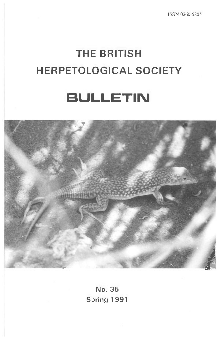## **THE BRITISH HERPETOLOGICAL SOCIETY**

## **BULLETIN**



**No. 35 Spring 1991**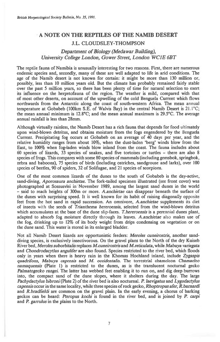## **A NOTE ON THE REPTILES OF THE NAMIB DESERT J.L. CLOUDSLEY-THOMPSON**

## *Department of Biology (Meda war Building), University College London, Gower Street, London WCIE 6BT*

The reptile fauna of Namibia is unusually interesting for two reasons. First, there are numerous endemic species and, secondly, many of these are well adapted to life in arid conditions. The age of the Namib desert is not known for certain: it might be more than 130 million or, possibly, less than 10 million years old. But the climate has probably remained fairly stable over the past 5 million years, so there has been plenty of time for natural selection to exert its influence on the herpetofauna of the region. The weather is mild, compared with that of most other deserts, on account of the upwelling of the cold Benguela Current which flows northwards from the Antarctic along the coast of south-western Africa. The mean annual temperature at Gobabeb (100km S.E. of Walvis Bay) in the central Namib Desert is 21.1°C; the mean annual minimum is 12.8°C; and the mean annual maximum is 29.5°C. The average annual rainfall is less than 28mm.

Although virtually rainless, the Namib Desert has a rich fauna that depends for food ultimately upon wind-blown detritus, and obtains moisture from the fogs engendered by the Benguela Current. Precipitating fog occurs at Gobabeb on an average of 40 days per year, and the relative humidity ranges from about 10%, when the dust-laden 'berg' winds blow from the East, to 100% when fog-laden winds blow inland from the coast. The fauna includes about 60 species of lizards, 33 species of snakes, and five tortoises or turtles — there are also 8 species of frogs. This compares with some 80 species of mammals (including gemsbok, springbok, zebra and baboons), 75 species of birds (including ostriches, sandgrouse and larks), over 100 species of beetles, 90 of spiders, 32 of Solifugae, and 21 species of scorpions.

One of the most common lizards of the dunes to the south of Gobabeb is the day-active, sand-diving, *Aporosaura anchietae.* The fork-tailed specimen illustrated (see front cover) was photographed at Sossusvlei in' November 1989, among the largest sand dunes in the world — said to reach heights of 300m or more. *A.anchietae* can disappear beneath the surface of the dunes with surprising speed. It is well known for its habit of raising diagonally opposite feet from the hot sand in rapid succession. An omnivore, *A.anchietae* supplements its diet of insects with the seeds of *Trianthema hereroensis,* selected from the wind-blown detritus which accumulates at the base of the dune slip-faces. *T.hereroensis is* a perennial dunes plant, adapted to absorb fog moisture directly through its leaves. *A.anchietae* also makes use of the fog, drinking up to 12% of its body weight from drips condensing on vegetation or on the dune sand. This water is stored in its enlarged bladder.

Not all Namib Desert lizards are opportunistic feeders: *Meroles cuneirostris,* another sanddiving species, is exclusively insectivorous. On the gravel plans to the North of the dry Kuiseb River bed, *Meroles suborbitalis* replaces *M.cuneirostris* and *M.reticulata,* while *Mabuya variegata*  and *Chondrodacytlus angulifer* are also found. Species restricted to the river bed, which floods only in years when there is heavy rain in the Khomas Hochland inland, include *Zygaspis quadrifons, Mabuya capensis* and M. *occidentalis.* The terrestrial chameleon *Chamaeleo namaquensis (Plate 1) is* restricted to the dunes, as is the translucent nocturnal gecko *Palmatogecko rangei.* The latter has webbed feet enabling it to run on, and dig deep burrows into, the compact sand of the dune slopes, where it shelters during the day. The large *Pachydactylus bibroni* (Plate 2) of the river bed is also nocturnal. *P. laevigatus* and *Lygodactylus capensis* occur in the same locality, while three species of rock gecko, *Rhoptropus afer, R.bamardi*  and *R.bradfieldi* are common on the gravel plain. In the early evening, a chorus of barking geckos can be heard: *Pteropus kochi is* found in the river bed, and is joined by *P. carpi*  and *P. garrulus in* the plains to the North.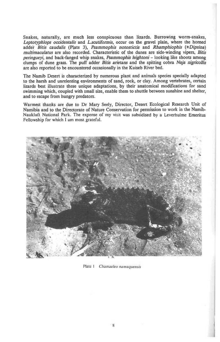**Snakes, naturally, are much less conspicuous than lizards. Burrowing worm-snakes,**  *Leptotyphlops occidentalis* **and** *L.scutiformis,* **occur on the gravel plain, where the horned addeir** *Bitis caudalis* **(Plate 3),** *Psammophis notostictis* **and** *Rhamphiophis (±Dipsina) multimaculatus* **are also recorded. Characteristic of the dunes are side-winding vipers,** *Bids peringueyi,* **and back-fanged whip snakes,** *Psammophis leightoni —* **looking like shoots among clumps of dune grass. The puff adder** *Bids arietans* **and the spitting cobra** *Naja nigricollis*  **are also reported to be encountered occasionally in the Kuiseb River bed.** 

**The Namib Desert is characterized by numerous plant and animals species specially adapted to the harsh and unrelenting environments of sand, rock, or clay. Among vertebrates, certain lizards best illustrate these unique adaptations, by their anatomical modifications for sand swimming which, coupled with small size, enable them to shuttle between sunshine and shelter, and to escape from hungry predators.** 

**Warmest thanks are due to Dr Mary Seely, Director, Desert Ecological Research Unit of Namibia and to the Directorate of Nature Conservation for permission to work in the Namib-Naukluft National Park. The expense of my visit was subsidised by a Leverhulme Emeritus Fellowship for which I am most grateful.** 



Plate I *Chamaeleo namaquensis*